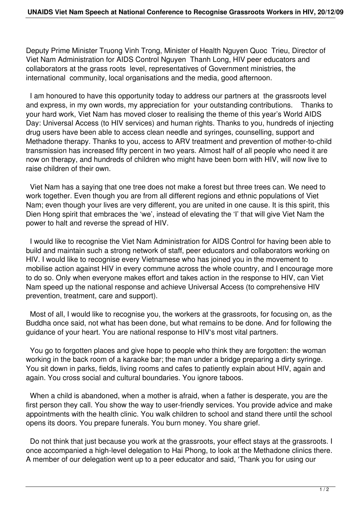Deputy Prime Minister Truong Vinh Trong, Minister of Health Nguyen Quoc Trieu, Director of Viet Nam Administration for AIDS Control Nguyen Thanh Long, HIV peer educators and collaborators at the grass roots level, representatives of Government ministries, the international community, local organisations and the media, good afternoon.

 I am honoured to have this opportunity today to address our partners at the grassroots level and express, in my own words, my appreciation for your outstanding contributions. Thanks to your hard work, Viet Nam has moved closer to realising the theme of this year's World AIDS Day: Universal Access (to HIV services) and human rights. Thanks to you, hundreds of injecting drug users have been able to access clean needle and syringes, counselling, support and Methadone therapy. Thanks to you, access to ARV treatment and prevention of mother-to-child transmission has increased fifty percent in two years. Almost half of all people who need it are now on therapy, and hundreds of children who might have been born with HIV, will now live to raise children of their own.

 Viet Nam has a saying that one tree does not make a forest but three trees can. We need to work together. Even though you are from all different regions and ethnic populations of Viet Nam; even though your lives are very different, you are united in one cause. It is this spirit, this Dien Hong spirit that embraces the 'we', instead of elevating the 'I' that will give Viet Nam the power to halt and reverse the spread of HIV.

 I would like to recognise the Viet Nam Administration for AIDS Control for having been able to build and maintain such a strong network of staff, peer educators and collaborators working on HIV. I would like to recognise every Vietnamese who has joined you in the movement to mobilise action against HIV in every commune across the whole country, and I encourage more to do so. Only when everyone makes effort and takes action in the response to HIV, can Viet Nam speed up the national response and achieve Universal Access (to comprehensive HIV prevention, treatment, care and support).

 Most of all, I would like to recognise you, the workers at the grassroots, for focusing on, as the Buddha once said, not what has been done, but what remains to be done. And for following the guidance of your heart. You are national response to HIV's most vital partners.

 You go to forgotten places and give hope to people who think they are forgotten: the woman working in the back room of a karaoke bar; the man under a bridge preparing a dirty syringe. You sit down in parks, fields, living rooms and cafes to patiently explain about HIV, again and again. You cross social and cultural boundaries. You ignore taboos.

 When a child is abandoned, when a mother is afraid, when a father is desperate, you are the first person they call. You show the way to user-friendly services. You provide advice and make appointments with the health clinic. You walk children to school and stand there until the school opens its doors. You prepare funerals. You burn money. You share grief.

 Do not think that just because you work at the grassroots, your effect stays at the grassroots. I once accompanied a high-level delegation to Hai Phong, to look at the Methadone clinics there. A member of our delegation went up to a peer educator and said, 'Thank you for using our